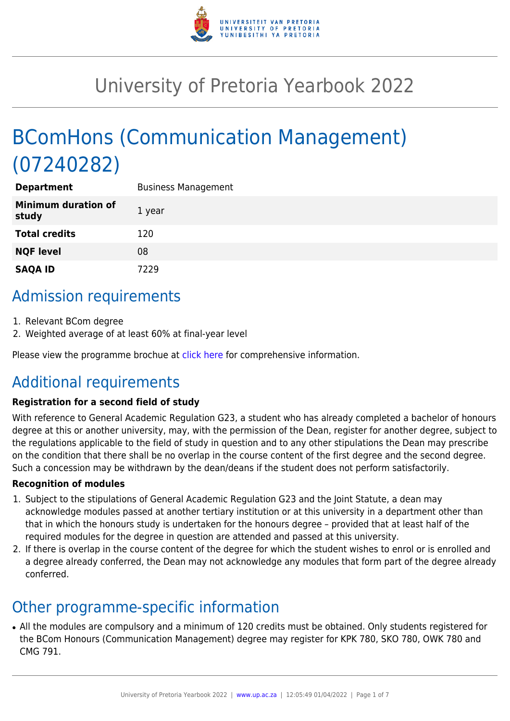

# University of Pretoria Yearbook 2022

# BComHons (Communication Management) (07240282)

| <b>Department</b>                   | <b>Business Management</b> |
|-------------------------------------|----------------------------|
| <b>Minimum duration of</b><br>study | 1 year                     |
| <b>Total credits</b>                | 120                        |
| <b>NQF level</b>                    | 08                         |
| <b>SAQA ID</b>                      | 7229                       |

# Admission requirements

- 1. Relevant BCom degree
- 2. Weighted average of at least 60% at final-year level

Please view the programme brochue at [click here](https://www.up.ac.za/media/shared/77/ZP_Files/2021/bcom-hons-communication-management-2021.zp186298.pdf) for comprehensive information.

# Additional requirements

### **Registration for a second field of study**

With reference to General Academic Regulation G23, a student who has already completed a bachelor of honours degree at this or another university, may, with the permission of the Dean, register for another degree, subject to the regulations applicable to the field of study in question and to any other stipulations the Dean may prescribe on the condition that there shall be no overlap in the course content of the first degree and the second degree. Such a concession may be withdrawn by the dean/deans if the student does not perform satisfactorily.

#### **Recognition of modules**

- 1. Subject to the stipulations of General Academic Regulation G23 and the Joint Statute, a dean may acknowledge modules passed at another tertiary institution or at this university in a department other than that in which the honours study is undertaken for the honours degree – provided that at least half of the required modules for the degree in question are attended and passed at this university.
- 2. If there is overlap in the course content of the degree for which the student wishes to enrol or is enrolled and a degree already conferred, the Dean may not acknowledge any modules that form part of the degree already conferred.

# Other programme-specific information

• All the modules are compulsory and a minimum of 120 credits must be obtained. Only students registered for the BCom Honours (Communication Management) degree may register for KPK 780, SKO 780, OWK 780 and CMG 791.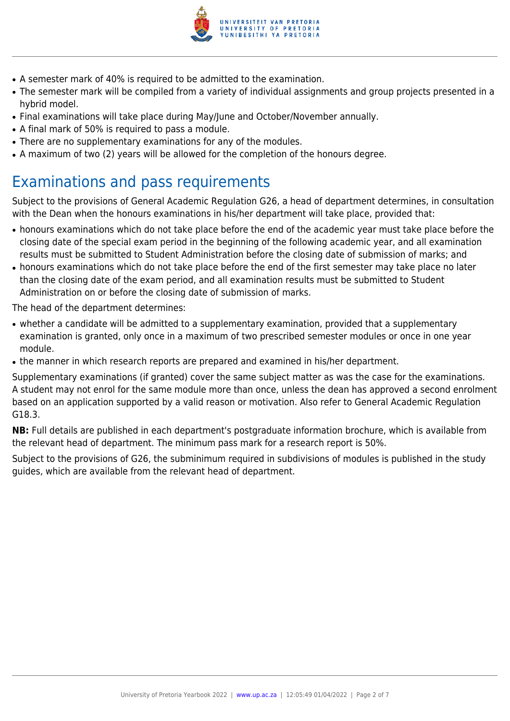

- A semester mark of 40% is required to be admitted to the examination.
- The semester mark will be compiled from a variety of individual assignments and group projects presented in a hybrid model.
- Final examinations will take place during May/June and October/November annually.
- A final mark of 50% is required to pass a module.
- There are no supplementary examinations for any of the modules.
- A maximum of two (2) years will be allowed for the completion of the honours degree.

# Examinations and pass requirements

Subject to the provisions of General Academic Regulation G26, a head of department determines, in consultation with the Dean when the honours examinations in his/her department will take place, provided that:

- honours examinations which do not take place before the end of the academic year must take place before the closing date of the special exam period in the beginning of the following academic year, and all examination results must be submitted to Student Administration before the closing date of submission of marks; and
- honours examinations which do not take place before the end of the first semester may take place no later than the closing date of the exam period, and all examination results must be submitted to Student Administration on or before the closing date of submission of marks.

The head of the department determines:

- whether a candidate will be admitted to a supplementary examination, provided that a supplementary examination is granted, only once in a maximum of two prescribed semester modules or once in one year module.
- the manner in which research reports are prepared and examined in his/her department.

Supplementary examinations (if granted) cover the same subject matter as was the case for the examinations. A student may not enrol for the same module more than once, unless the dean has approved a second enrolment based on an application supported by a valid reason or motivation. Also refer to General Academic Regulation G18.3.

**NB:** Full details are published in each department's postgraduate information brochure, which is available from the relevant head of department. The minimum pass mark for a research report is 50%.

Subject to the provisions of G26, the subminimum required in subdivisions of modules is published in the study guides, which are available from the relevant head of department.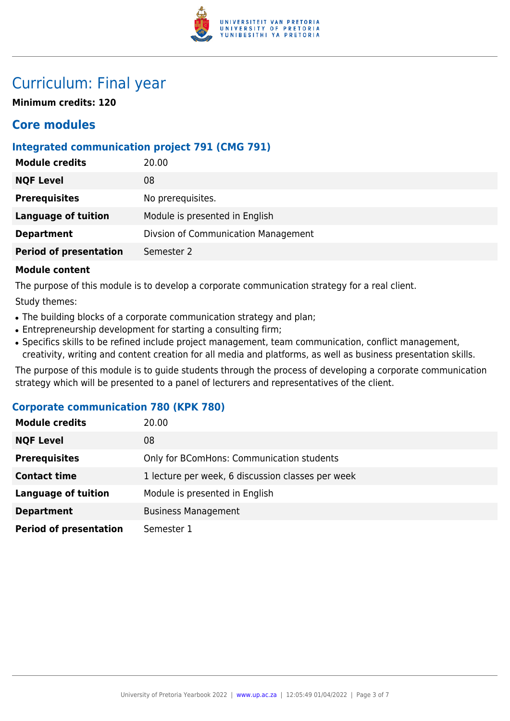

# Curriculum: Final year

**Minimum credits: 120**

## **Core modules**

## **Integrated communication project 791 (CMG 791)**

| <b>Module credits</b>         | 20.00                               |
|-------------------------------|-------------------------------------|
| <b>NQF Level</b>              | 08                                  |
| <b>Prerequisites</b>          | No prerequisites.                   |
| <b>Language of tuition</b>    | Module is presented in English      |
| <b>Department</b>             | Divsion of Communication Management |
| <b>Period of presentation</b> | Semester 2                          |
|                               |                                     |

#### **Module content**

The purpose of this module is to develop a corporate communication strategy for a real client.

Study themes:

- The building blocks of a corporate communication strategy and plan;
- Entrepreneurship development for starting a consulting firm;
- Specifics skills to be refined include project management, team communication, conflict management, creativity, writing and content creation for all media and platforms, as well as business presentation skills.

The purpose of this module is to guide students through the process of developing a corporate communication strategy which will be presented to a panel of lecturers and representatives of the client.

### **Corporate communication 780 (KPK 780)**

| <b>Module credits</b>         | 20.00                                             |
|-------------------------------|---------------------------------------------------|
| <b>NQF Level</b>              | 08                                                |
| <b>Prerequisites</b>          | Only for BComHons: Communication students         |
| <b>Contact time</b>           | 1 lecture per week, 6 discussion classes per week |
| <b>Language of tuition</b>    | Module is presented in English                    |
| <b>Department</b>             | <b>Business Management</b>                        |
| <b>Period of presentation</b> | Semester 1                                        |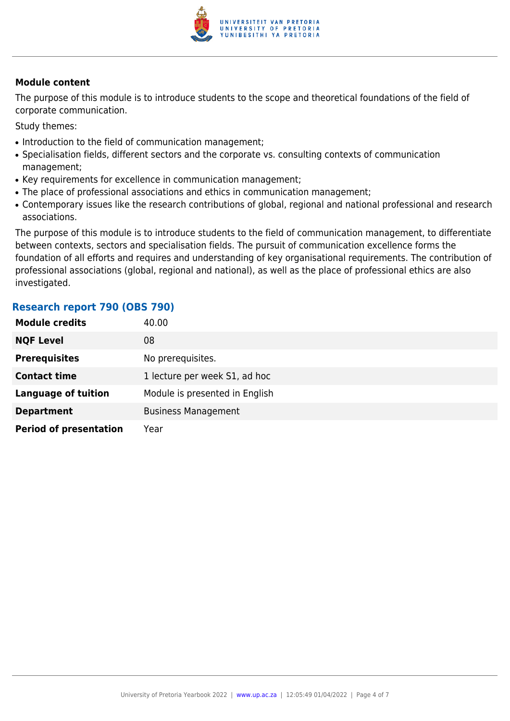

#### **Module content**

The purpose of this module is to introduce students to the scope and theoretical foundations of the field of corporate communication.

Study themes:

- Introduction to the field of communication management;
- Specialisation fields, different sectors and the corporate vs. consulting contexts of communication management;
- Key requirements for excellence in communication management;
- The place of professional associations and ethics in communication management;
- Contemporary issues like the research contributions of global, regional and national professional and research associations.

The purpose of this module is to introduce students to the field of communication management, to differentiate between contexts, sectors and specialisation fields. The pursuit of communication excellence forms the foundation of all efforts and requires and understanding of key organisational requirements. The contribution of professional associations (global, regional and national), as well as the place of professional ethics are also investigated.

### **Research report 790 (OBS 790)**

| <b>Module credits</b>         | 40.00                          |
|-------------------------------|--------------------------------|
| <b>NQF Level</b>              | 08                             |
| <b>Prerequisites</b>          | No prerequisites.              |
| <b>Contact time</b>           | 1 lecture per week S1, ad hoc  |
| <b>Language of tuition</b>    | Module is presented in English |
| <b>Department</b>             | <b>Business Management</b>     |
| <b>Period of presentation</b> | Year                           |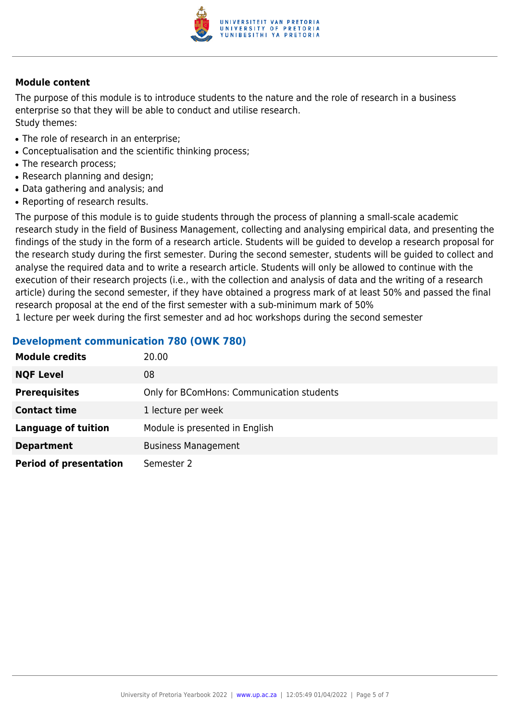

#### **Module content**

The purpose of this module is to introduce students to the nature and the role of research in a business enterprise so that they will be able to conduct and utilise research. Study themes:

- The role of research in an enterprise:
- Conceptualisation and the scientific thinking process;
- The research process;
- Research planning and design;
- Data gathering and analysis; and
- Reporting of research results.

The purpose of this module is to guide students through the process of planning a small-scale academic research study in the field of Business Management, collecting and analysing empirical data, and presenting the findings of the study in the form of a research article. Students will be guided to develop a research proposal for the research study during the first semester. During the second semester, students will be guided to collect and analyse the required data and to write a research article. Students will only be allowed to continue with the execution of their research projects (i.e., with the collection and analysis of data and the writing of a research article) during the second semester, if they have obtained a progress mark of at least 50% and passed the final research proposal at the end of the first semester with a sub-minimum mark of 50%

1 lecture per week during the first semester and ad hoc workshops during the second semester

### **Development communication 780 (OWK 780)**

| <b>Module credits</b>         | 20.00                                     |
|-------------------------------|-------------------------------------------|
| <b>NQF Level</b>              | 08                                        |
| <b>Prerequisites</b>          | Only for BComHons: Communication students |
| <b>Contact time</b>           | 1 lecture per week                        |
| <b>Language of tuition</b>    | Module is presented in English            |
| <b>Department</b>             | <b>Business Management</b>                |
| <b>Period of presentation</b> | Semester 2                                |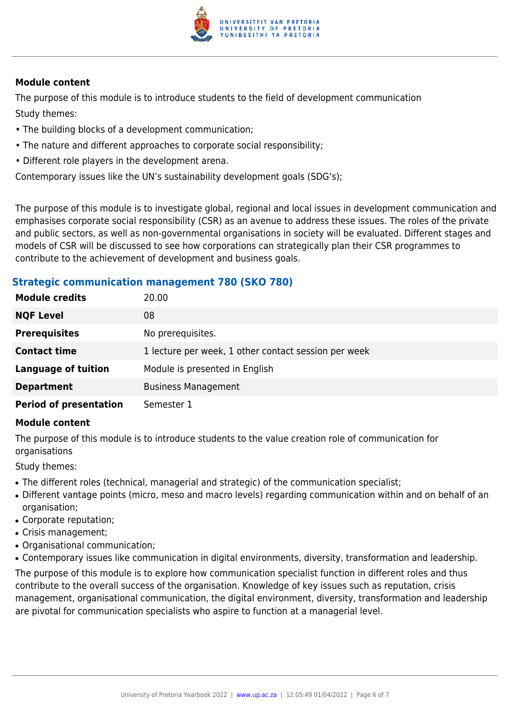

#### **Module content**

The purpose of this module is to introduce students to the field of development communication Study themes:

- The building blocks of a development communication;
- The nature and different approaches to corporate social responsibility;
- Different role players in the development arena.

Contemporary issues like the UN's sustainability development goals (SDG's);

The purpose of this module is to investigate global, regional and local issues in development communication and emphasises corporate social responsibility (CSR) as an avenue to address these issues. The roles of the private and public sectors, as well as non-governmental organisations in society will be evaluated. Different stages and models of CSR will be discussed to see how corporations can strategically plan their CSR programmes to contribute to the achievement of development and business goals.

### **Strategic communication management 780 (SKO 780)**

| <b>Module credits</b>         | 20.00                                                |
|-------------------------------|------------------------------------------------------|
| <b>NQF Level</b>              | 08                                                   |
| <b>Prerequisites</b>          | No prerequisites.                                    |
| <b>Contact time</b>           | 1 lecture per week, 1 other contact session per week |
| <b>Language of tuition</b>    | Module is presented in English                       |
| <b>Department</b>             | <b>Business Management</b>                           |
| <b>Period of presentation</b> | Semester 1                                           |

#### **Module content**

The purpose of this module is to introduce students to the value creation role of communication for organisations

Study themes:

- The different roles (technical, managerial and strategic) of the communication specialist;
- Different vantage points (micro, meso and macro levels) regarding communication within and on behalf of an organisation;
- Corporate reputation;
- Crisis management;
- Organisational communication;
- Contemporary issues like communication in digital environments, diversity, transformation and leadership.

The purpose of this module is to explore how communication specialist function in different roles and thus contribute to the overall success of the organisation. Knowledge of key issues such as reputation, crisis management, organisational communication, the digital environment, diversity, transformation and leadership are pivotal for communication specialists who aspire to function at a managerial level.